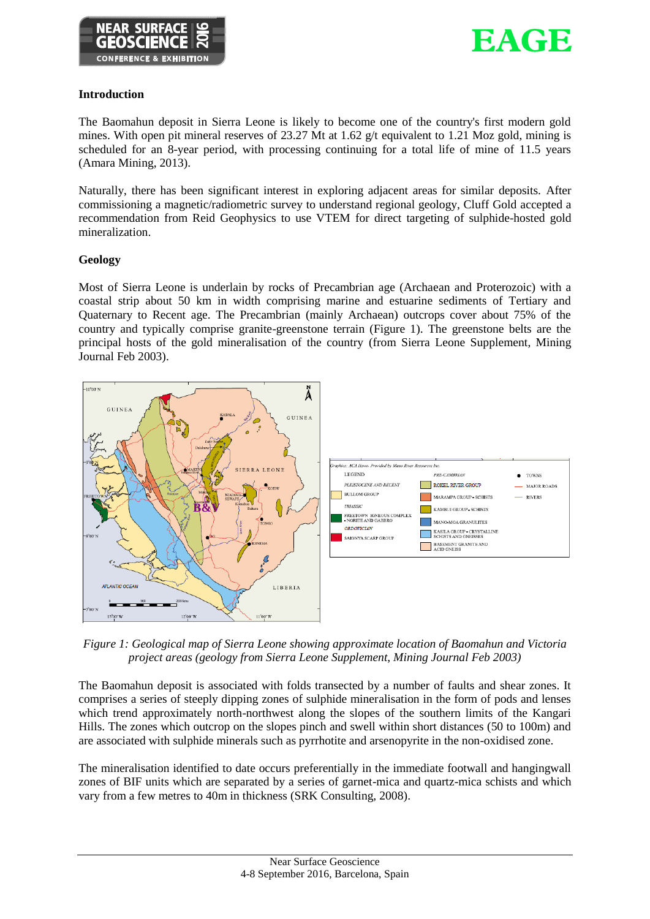



## **Introduction**

The Baomahun deposit in Sierra Leone is likely to become one of the country's first modern gold mines. With open pit mineral reserves of 23.27 Mt at 1.62 g/t equivalent to 1.21 Moz gold, mining is scheduled for an 8-year period, with processing continuing for a total life of mine of 11.5 years (Amara Mining, 2013).

Naturally, there has been significant interest in exploring adjacent areas for similar deposits. After commissioning a magnetic/radiometric survey to understand regional geology, Cluff Gold accepted a recommendation from Reid Geophysics to use VTEM for direct targeting of sulphide-hosted gold mineralization.

# **Geology**

Most of Sierra Leone is underlain by rocks of Precambrian age (Archaean and Proterozoic) with a coastal strip about 50 km in width comprising marine and estuarine sediments of Tertiary and Quaternary to Recent age. The Precambrian (mainly Archaean) outcrops cover about 75% of the country and typically comprise granite-greenstone terrain (Figure 1). The greenstone belts are the principal hosts of the gold mineralisation of the country (from Sierra Leone Supplement, Mining Journal Feb 2003).



*Figure 1: Geological map of Sierra Leone showing approximate location of Baomahun and Victoria project areas (geology from Sierra Leone Supplement, Mining Journal Feb 2003)*

The Baomahun deposit is associated with folds transected by a number of faults and shear zones. It comprises a series of steeply dipping zones of sulphide mineralisation in the form of pods and lenses which trend approximately north-northwest along the slopes of the southern limits of the Kangari Hills. The zones which outcrop on the slopes pinch and swell within short distances (50 to 100m) and are associated with sulphide minerals such as pyrrhotite and arsenopyrite in the non-oxidised zone.

The mineralisation identified to date occurs preferentially in the immediate footwall and hangingwall zones of BIF units which are separated by a series of garnet-mica and quartz-mica schists and which vary from a few metres to 40m in thickness (SRK Consulting, 2008).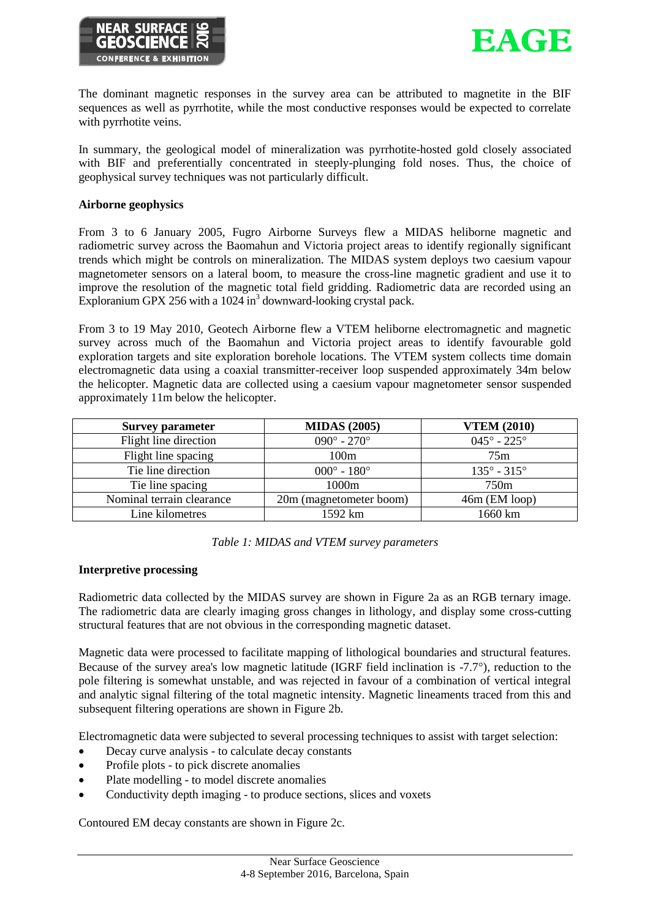



The dominant magnetic responses in the survey area can be attributed to magnetite in the BIF sequences as well as pyrrhotite, while the most conductive responses would be expected to correlate with pyrrhotite veins.

In summary, the geological model of mineralization was pyrrhotite-hosted gold closely associated with BIF and preferentially concentrated in steeply-plunging fold noses. Thus, the choice of geophysical survey techniques was not particularly difficult.

### **Airborne geophysics**

From 3 to 6 January 2005, Fugro Airborne Surveys flew a MIDAS heliborne magnetic and radiometric survey across the Baomahun and Victoria project areas to identify regionally significant trends which might be controls on mineralization. The MIDAS system deploys two caesium vapour magnetometer sensors on a lateral boom, to measure the cross-line magnetic gradient and use it to improve the resolution of the magnetic total field gridding. Radiometric data are recorded using an Exploranium GPX 256 with a 1024 in<sup>3</sup> downward-looking crystal pack.

From 3 to 19 May 2010, Geotech Airborne flew a VTEM heliborne electromagnetic and magnetic survey across much of the Baomahun and Victoria project areas to identify favourable gold exploration targets and site exploration borehole locations. The VTEM system collects time domain electromagnetic data using a coaxial transmitter-receiver loop suspended approximately 34m below the helicopter. Magnetic data are collected using a caesium vapour magnetometer sensor suspended approximately 11m below the helicopter.

| <b>Survey parameter</b>   | <b>MIDAS</b> (2005)         | <b>VTEM (2010)</b>          |
|---------------------------|-----------------------------|-----------------------------|
| Flight line direction     | $090^{\circ} - 270^{\circ}$ | $045^{\circ} - 225^{\circ}$ |
| Flight line spacing       | 100m                        | 75m                         |
| Tie line direction        | $000^{\circ} - 180^{\circ}$ | $135^{\circ} - 315^{\circ}$ |
| Tie line spacing          | 1000m                       | 750 <sub>m</sub>            |
| Nominal terrain clearance | 20m (magnetometer boom)     | $46m$ (EM loop)             |
| Line kilometres           | 1592 km                     | 1660 km                     |

*Table 1: MIDAS and VTEM survey parameters*

### **Interpretive processing**

Radiometric data collected by the MIDAS survey are shown in Figure 2a as an RGB ternary image. The radiometric data are clearly imaging gross changes in lithology, and display some cross-cutting structural features that are not obvious in the corresponding magnetic dataset.

Magnetic data were processed to facilitate mapping of lithological boundaries and structural features. Because of the survey area's low magnetic latitude (IGRF field inclination is  $-7.7^{\circ}$ ), reduction to the pole filtering is somewhat unstable, and was rejected in favour of a combination of vertical integral and analytic signal filtering of the total magnetic intensity. Magnetic lineaments traced from this and subsequent filtering operations are shown in Figure 2b.

Electromagnetic data were subjected to several processing techniques to assist with target selection:

- Decay curve analysis to calculate decay constants
- Profile plots to pick discrete anomalies
- Plate modelling to model discrete anomalies
- Conductivity depth imaging to produce sections, slices and voxets

Contoured EM decay constants are shown in Figure 2c.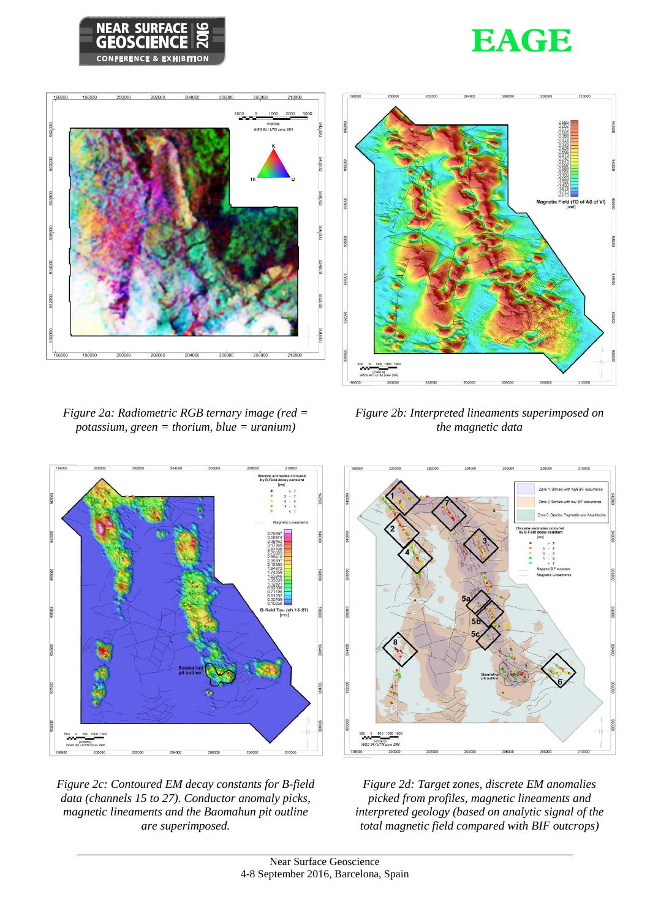







*Figure 2a: Radiometric RGB ternary image (red = potassium, green = thorium, blue = uranium)*









*Figure 2d: Target zones, discrete EM anomalies picked from profiles, magnetic lineaments and interpreted geology (based on analytic signal of the total magnetic field compared with BIF outcrops)*